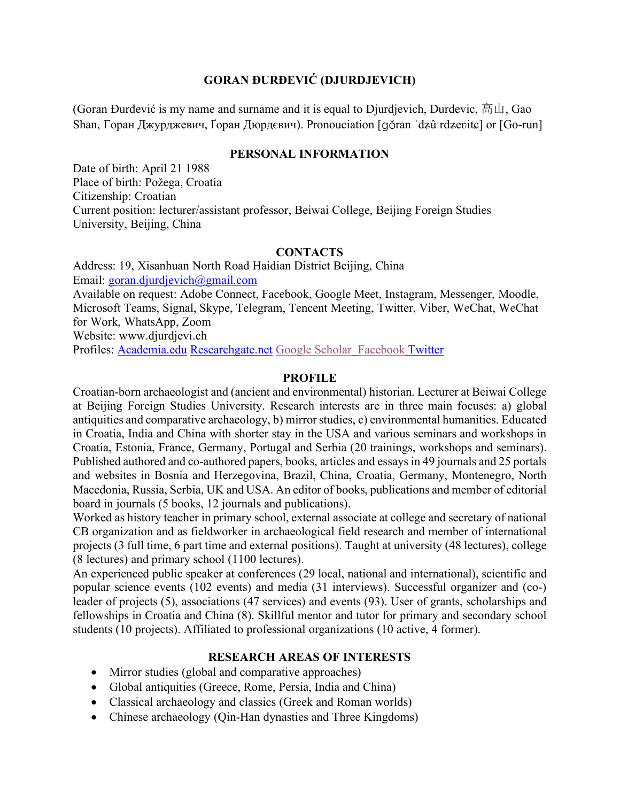#### **GORAN ĐURĐEVIĆ (DJURDJEVICH)**

(Goran Đurđević is my name and surname and it is equal to Djurdjevich, Durdevic,  $\overline{\mathbb{a}}$   $\mathbb{u}$ , Gao Shan, Горан Джурджевич, Ґоран Дюрдєвич). Pronouciation [qǒran ˈdʑûːrdzevitɕ] or [Go-run]

#### **PERSONAL INFORMATION**

Date of birth: April 21 1988 Place of birth: Požega, Croatia Citizenship: Croatian Current position: lecturer/assistant professor, Beiwai College, Beijing Foreign Studies University, Beijing, China

#### **CONTACTS**

Address: 19, Xisanhuan North Road Haidian District Beijing, China Email: goran.djurdjevich@gmail.com Available on request: Adobe Connect, Facebook, Google Meet, Instagram, Messenger, Moodle, Microsoft Teams, Signal, Skype, Telegram, Tencent Meeting, Twitter, Viber, WeChat, WeChat for Work, WhatsApp, Zoom Website: www.djurdjevi.ch Profiles: Academia.edu Researchgate.net Google Scholar Facebook Twitter

#### **PROFILE**

Croatian-born archaeologist and (ancient and environmental) historian. Lecturer at Beiwai College at Beijing Foreign Studies University. Research interests are in three main focuses: a) global antiquities and comparative archaeology, b) mirror studies, c) environmental humanities. Educated in Croatia, India and China with shorter stay in the USA and various seminars and workshops in Croatia, Estonia, France, Germany, Portugal and Serbia (20 trainings, workshops and seminars). Published authored and co-authored papers, books, articles and essays in 49 journals and 25 portals and websites in Bosnia and Herzegovina, Brazil, China, Croatia, Germany, Montenegro, North Macedonia, Russia, Serbia, UK and USA. An editor of books, publications and member of editorial board in journals (5 books, 12 journals and publications).

Worked as history teacher in primary school, external associate at college and secretary of national CB organization and as fieldworker in archaeological field research and member of international projects (3 full time, 6 part time and external positions). Taught at university (48 lectures), college (8 lectures) and primary school (1100 lectures).

An experienced public speaker at conferences (29 local, national and international), scientific and popular science events (102 events) and media (31 interviews). Successful organizer and (co-) leader of projects (5), associations (47 services) and events (93). User of grants, scholarships and fellowships in Croatia and China (8). Skillful mentor and tutor for primary and secondary school students (10 projects). Affiliated to professional organizations (10 active, 4 former).

#### **RESEARCH AREAS OF INTERESTS**

- Mirror studies (global and comparative approaches)
- Global antiquities (Greece, Rome, Persia, India and China)
- Classical archaeology and classics (Greek and Roman worlds)
- Chinese archaeology (Qin-Han dynasties and Three Kingdoms)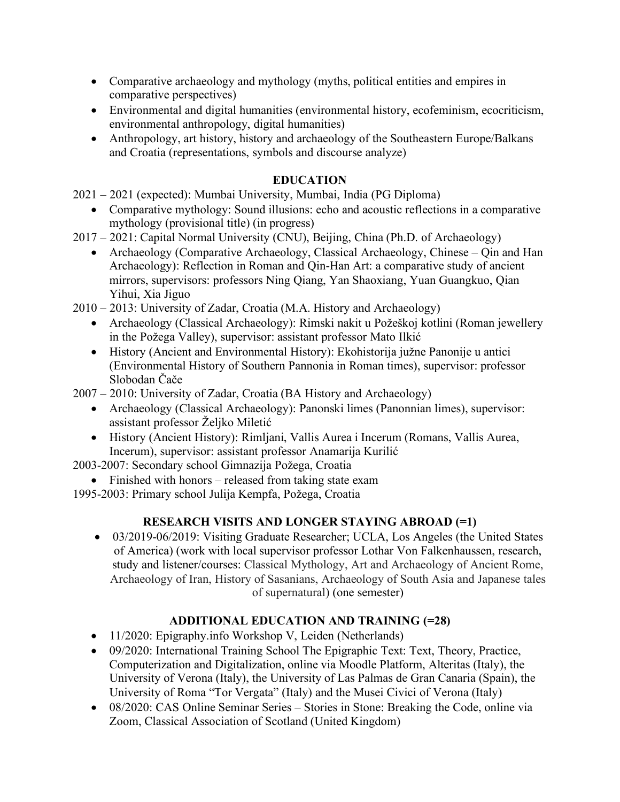- Comparative archaeology and mythology (myths, political entities and empires in comparative perspectives)
- Environmental and digital humanities (environmental history, ecofeminism, ecocriticism, environmental anthropology, digital humanities)
- Anthropology, art history, history and archaeology of the Southeastern Europe/Balkans and Croatia (representations, symbols and discourse analyze)

## **EDUCATION**

2021 – 2021 (expected): Mumbai University, Mumbai, India (PG Diploma)

- Comparative mythology: Sound illusions: echo and acoustic reflections in a comparative mythology (provisional title) (in progress)
- 2017 2021: Capital Normal University (CNU), Beijing, China (Ph.D. of Archaeology)
	- Archaeology (Comparative Archaeology, Classical Archaeology, Chinese Oin and Han Archaeology): Reflection in Roman and Qin-Han Art: a comparative study of ancient mirrors, supervisors: professors Ning Qiang, Yan Shaoxiang, Yuan Guangkuo, Qian Yihui, Xia Jiguo
- 2010 2013: University of Zadar, Croatia (M.A. History and Archaeology)
	- Archaeology (Classical Archaeology): Rimski nakit u Požeškoj kotlini (Roman jewellery in the Požega Valley), supervisor: assistant professor Mato Ilkić
	- History (Ancient and Environmental History): Ekohistorija južne Panonije u antici (Environmental History of Southern Pannonia in Roman times), supervisor: professor Slobodan Čače
- 2007 2010: University of Zadar, Croatia (BA History and Archaeology)
	- Archaeology (Classical Archaeology): Panonski limes (Panonnian limes), supervisor: assistant professor Željko Miletić
	- History (Ancient History): Rimljani, Vallis Aurea i Incerum (Romans, Vallis Aurea, Incerum), supervisor: assistant professor Anamarija Kurilić

2003-2007: Secondary school Gimnazija Požega, Croatia

• Finished with honors – released from taking state exam

1995-2003: Primary school Julija Kempfa, Požega, Croatia

# **RESEARCH VISITS AND LONGER STAYING ABROAD (=1)**

• 03/2019-06/2019: Visiting Graduate Researcher; UCLA, Los Angeles (the United States of America) (work with local supervisor professor Lothar Von Falkenhaussen, research, study and listener/courses: Classical Mythology, Art and Archaeology of Ancient Rome, Archaeology of Iran, History of Sasanians, Archaeology of South Asia and Japanese tales of supernatural) (one semester)

# **ADDITIONAL EDUCATION AND TRAINING (=28)**

- 11/2020: Epigraphy.info Workshop V, Leiden (Netherlands)
- 09/2020: International Training School The Epigraphic Text: Text, Theory, Practice, Computerization and Digitalization, online via Moodle Platform, Alteritas (Italy), the University of Verona (Italy), the University of Las Palmas de Gran Canaria (Spain), the University of Roma "Tor Vergata" (Italy) and the Musei Civici of Verona (Italy)
- 08/2020: CAS Online Seminar Series Stories in Stone: Breaking the Code, online via Zoom, Classical Association of Scotland (United Kingdom)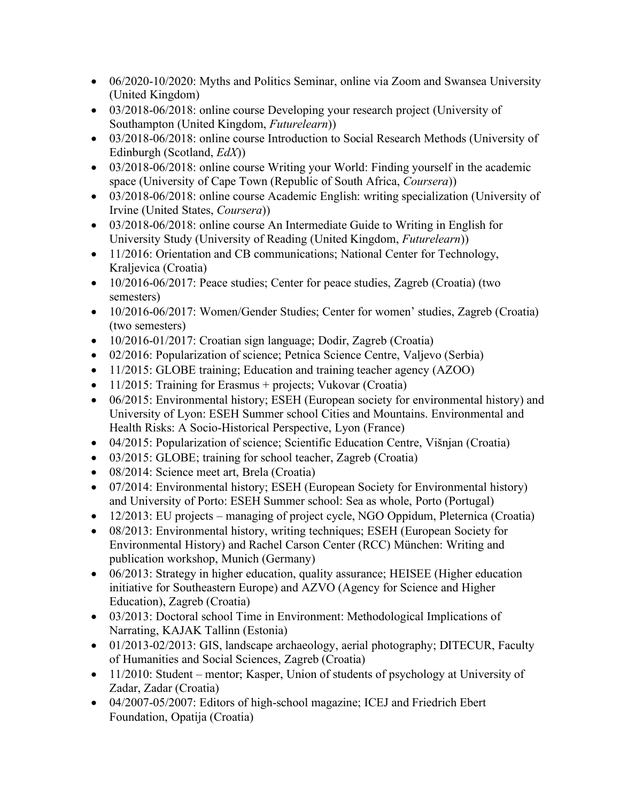- 06/2020-10/2020: Myths and Politics Seminar, online via Zoom and Swansea University (United Kingdom)
- 03/2018-06/2018: online course Developing your research project (University of Southampton (United Kingdom, *Futurelearn*))
- 03/2018-06/2018: online course Introduction to Social Research Methods (University of Edinburgh (Scotland, *EdX*))
- 03/2018-06/2018: online course Writing your World: Finding yourself in the academic space (University of Cape Town (Republic of South Africa, *Coursera*))
- 03/2018-06/2018: online course Academic English: writing specialization (University of Irvine (United States, *Coursera*))
- 03/2018-06/2018: online course An Intermediate Guide to Writing in English for University Study (University of Reading (United Kingdom, *Futurelearn*))
- 11/2016: Orientation and CB communications; National Center for Technology, Kraljevica (Croatia)
- 10/2016-06/2017: Peace studies; Center for peace studies, Zagreb (Croatia) (two semesters)
- 10/2016-06/2017: Women/Gender Studies; Center for women' studies, Zagreb (Croatia) (two semesters)
- 10/2016-01/2017: Croatian sign language; Dodir, Zagreb (Croatia)
- 02/2016: Popularization of science; Petnica Science Centre, Valjevo (Serbia)
- 11/2015: GLOBE training; Education and training teacher agency (AZOO)
- 11/2015: Training for Erasmus + projects; Vukovar (Croatia)
- 06/2015: Environmental history; ESEH (European society for environmental history) and University of Lyon: ESEH Summer school Cities and Mountains. Environmental and Health Risks: A Socio-Historical Perspective, Lyon (France)
- 04/2015: Popularization of science; Scientific Education Centre, Višnjan (Croatia)
- 03/2015: GLOBE; training for school teacher, Zagreb (Croatia)
- 08/2014: Science meet art, Brela (Croatia)
- 07/2014: Environmental history; ESEH (European Society for Environmental history) and University of Porto: ESEH Summer school: Sea as whole, Porto (Portugal)
- 12/2013: EU projects managing of project cycle, NGO Oppidum, Pleternica (Croatia)
- 08/2013: Environmental history, writing techniques; ESEH (European Society for Environmental History) and Rachel Carson Center (RCC) München: Writing and publication workshop, Munich (Germany)
- 06/2013: Strategy in higher education, quality assurance; HEISEE (Higher education initiative for Southeastern Europe) and AZVO (Agency for Science and Higher Education), Zagreb (Croatia)
- 03/2013: Doctoral school Time in Environment: Methodological Implications of Narrating, KAJAK Tallinn (Estonia)
- 01/2013-02/2013: GIS, landscape archaeology, aerial photography; DITECUR, Faculty of Humanities and Social Sciences, Zagreb (Croatia)
- 11/2010: Student mentor; Kasper, Union of students of psychology at University of Zadar, Zadar (Croatia)
- 04/2007-05/2007: Editors of high-school magazine; ICEJ and Friedrich Ebert Foundation, Opatija (Croatia)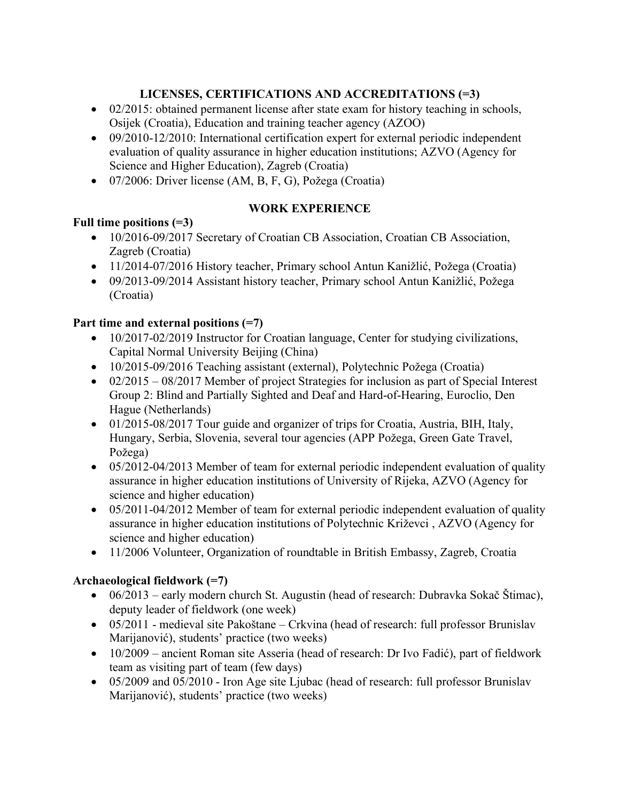# **LICENSES, CERTIFICATIONS AND ACCREDITATIONS (=3)**

- 02/2015: obtained permanent license after state exam for history teaching in schools, Osijek (Croatia), Education and training teacher agency (AZOO)
- 09/2010-12/2010: International certification expert for external periodic independent evaluation of quality assurance in higher education institutions; AZVO (Agency for Science and Higher Education), Zagreb (Croatia)
- 07/2006: Driver license (AM, B, F, G), Požega (Croatia)

#### **WORK EXPERIENCE**

# **Full time positions (=3)**

- 10/2016-09/2017 Secretary of Croatian CB Association, Croatian CB Association, Zagreb (Croatia)
- 11/2014-07/2016 History teacher, Primary school Antun Kanižlić, Požega (Croatia)
- 09/2013-09/2014 Assistant history teacher, Primary school Antun Kanižlić, Požega (Croatia)

#### **Part time and external positions (=7)**

- 10/2017-02/2019 Instructor for Croatian language, Center for studying civilizations, Capital Normal University Beijing (China)
- 10/2015-09/2016 Teaching assistant (external), Polytechnic Požega (Croatia)
- 02/2015 08/2017 Member of project Strategies for inclusion as part of Special Interest Group 2: Blind and Partially Sighted and Deaf and Hard-of-Hearing, Euroclio, Den Hague (Netherlands)
- 01/2015-08/2017 Tour guide and organizer of trips for Croatia, Austria, BIH, Italy, Hungary, Serbia, Slovenia, several tour agencies (APP Požega, Green Gate Travel, Požega)
- 05/2012-04/2013 Member of team for external periodic independent evaluation of quality assurance in higher education institutions of University of Rijeka, AZVO (Agency for science and higher education)
- 05/2011-04/2012 Member of team for external periodic independent evaluation of quality assurance in higher education institutions of Polytechnic Križevci , AZVO (Agency for science and higher education)
- 11/2006 Volunteer, Organization of roundtable in British Embassy, Zagreb, Croatia

### **Archaeological fieldwork (=7)**

- 06/2013 early modern church St. Augustin (head of research: Dubravka Sokač Štimac), deputy leader of fieldwork (one week)
- 05/2011 medieval site Pakoštane Crkvina (head of research: full professor Brunislav Marijanović), students' practice (two weeks)
- 10/2009 ancient Roman site Asseria (head of research: Dr Ivo Fadić), part of fieldwork team as visiting part of team (few days)
- 05/2009 and 05/2010 Iron Age site Ljubac (head of research: full professor Brunislav Marijanović), students' practice (two weeks)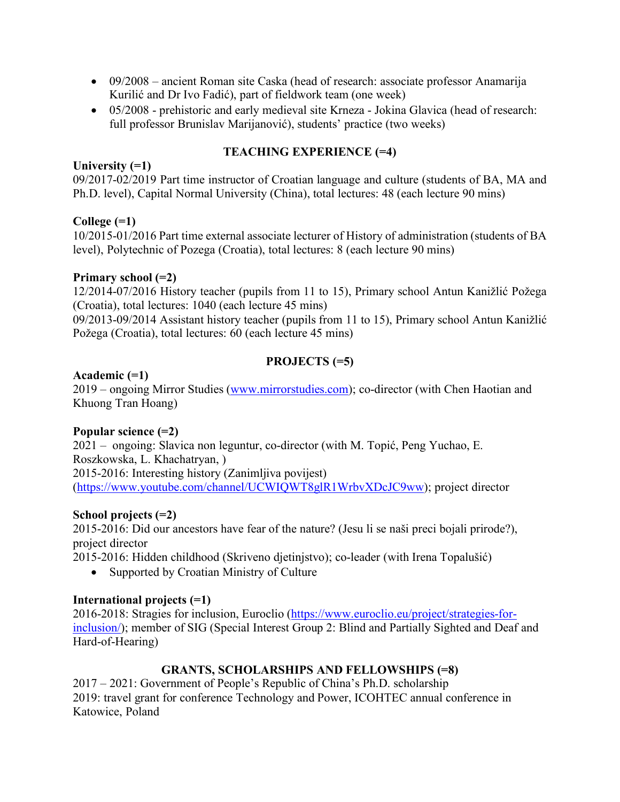- 09/2008 ancient Roman site Caska (head of research: associate professor Anamarija Kurilić and Dr Ivo Fadić), part of fieldwork team (one week)
- 05/2008 prehistoric and early medieval site Krneza Jokina Glavica (head of research: full professor Brunislav Marijanović), students' practice (two weeks)

## **TEACHING EXPERIENCE (=4)**

**University (=1)**

09/2017-02/2019 Part time instructor of Croatian language and culture (students of BA, MA and Ph.D. level), Capital Normal University (China), total lectures: 48 (each lecture 90 mins)

#### **College (=1)**

10/2015-01/2016 Part time external associate lecturer of History of administration (students of BA level), Polytechnic of Pozega (Croatia), total lectures: 8 (each lecture 90 mins)

#### **Primary school (=2)**

12/2014-07/2016 History teacher (pupils from 11 to 15), Primary school Antun Kanižlić Požega (Croatia), total lectures: 1040 (each lecture 45 mins)

09/2013-09/2014 Assistant history teacher (pupils from 11 to 15), Primary school Antun Kanižlić Požega (Croatia), total lectures: 60 (each lecture 45 mins)

# **PROJECTS (=5)**

#### **Academic (=1)**

2019 – ongoing Mirror Studies (www.mirrorstudies.com); co-director (with Chen Haotian and Khuong Tran Hoang)

### **Popular science (=2)**

2021 – ongoing: Slavica non leguntur, co-director (with M. Topić, Peng Yuchao, E. Roszkowska, L. Khachatryan, ) 2015-2016: Interesting history (Zanimljiva povijest) (https://www.youtube.com/channel/UCWIQWT8glR1WrbvXDcJC9ww); project director

### **School projects (=2)**

2015-2016: Did our ancestors have fear of the nature? (Jesu li se naši preci bojali prirode?), project director

2015-2016: Hidden childhood (Skriveno djetinjstvo); co-leader (with Irena Topalušić)

• Supported by Croatian Ministry of Culture

### **International projects (=1)**

2016-2018: Stragies for inclusion, Euroclio (https://www.euroclio.eu/project/strategies-forinclusion/); member of SIG (Special Interest Group 2: Blind and Partially Sighted and Deaf and Hard-of-Hearing)

# **GRANTS, SCHOLARSHIPS AND FELLOWSHIPS (=8)**

2017 – 2021: Government of People's Republic of China's Ph.D. scholarship 2019: travel grant for conference Technology and Power, ICOHTEC annual conference in Katowice, Poland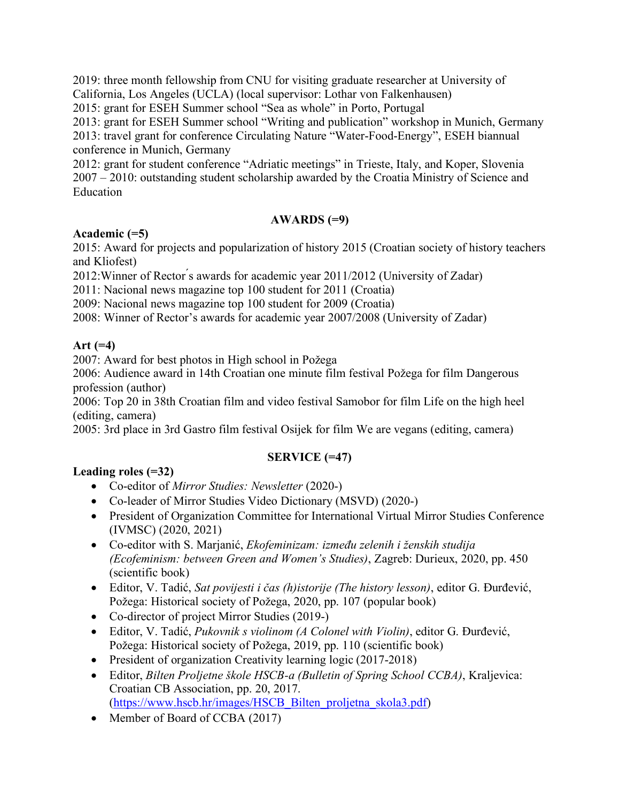2019: three month fellowship from CNU for visiting graduate researcher at University of California, Los Angeles (UCLA) (local supervisor: Lothar von Falkenhausen)

2015: grant for ESEH Summer school "Sea as whole" in Porto, Portugal

2013: grant for ESEH Summer school "Writing and publication" workshop in Munich, Germany 2013: travel grant for conference Circulating Nature "Water-Food-Energy", ESEH biannual conference in Munich, Germany

2012: grant for student conference "Adriatic meetings" in Trieste, Italy, and Koper, Slovenia 2007 – 2010: outstanding student scholarship awarded by the Croatia Ministry of Science and Education

#### **AWARDS (=9)**

#### **Academic (=5)**

2015: Award for projects and popularization of history 2015 (Croatian society of history teachers and Kliofest)

2012:Winner of Rector ́s awards for academic year 2011/2012 (University of Zadar)

2011: Nacional news magazine top 100 student for 2011 (Croatia)

2009: Nacional news magazine top 100 student for 2009 (Croatia)

2008: Winner of Rector's awards for academic year 2007/2008 (University of Zadar)

### **Art (=4)**

2007: Award for best photos in High school in Požega

2006: Audience award in 14th Croatian one minute film festival Požega for film Dangerous profession (author)

2006: Top 20 in 38th Croatian film and video festival Samobor for film Life on the high heel (editing, camera)

2005: 3rd place in 3rd Gastro film festival Osijek for film We are vegans (editing, camera)

### **SERVICE (=47)**

### **Leading roles (=32)**

- Co-editor of *Mirror Studies: Newsletter* (2020-)
- Co-leader of Mirror Studies Video Dictionary (MSVD) (2020-)
- President of Organization Committee for International Virtual Mirror Studies Conference (IVMSC) (2020, 2021)
- Co-editor with S. Marjanić, *Ekofeminizam: između zelenih i ženskih studija (Ecofeminism: between Green and Women's Studies)*, Zagreb: Durieux, 2020, pp. 450 (scientific book)
- Editor, V. Tadić, *Sat povijesti i čas (h)istorije (The history lesson)*, editor G. Đurđević, Požega: Historical society of Požega, 2020, pp. 107 (popular book)
- Co-director of project Mirror Studies (2019-)
- Editor, V. Tadić, *Pukovnik s violinom (A Colonel with Violin)*, editor G. Đurđević, Požega: Historical society of Požega, 2019, pp. 110 (scientific book)
- President of organization Creativity learning logic (2017-2018)
- Editor, *Bilten Proljetne škole HSCB-a (Bulletin of Spring School CCBA)*, Kraljevica: Croatian CB Association, pp. 20, 2017. (https://www.hscb.hr/images/HSCB\_Bilten\_proljetna\_skola3.pdf)
- Member of Board of CCBA (2017)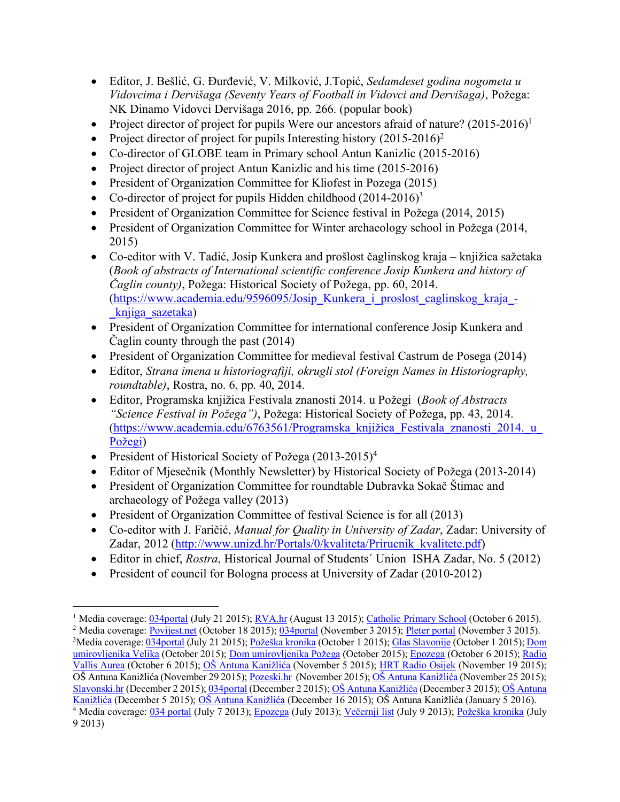- Editor, J. Bešlić, G. Đurđević, V. Milković, J.Topić, *Sedamdeset godina nogometa u Vidovcima i Dervišaga (Seventy Years of Football in Vidovci and Dervišaga)*, Požega: NK Dinamo Vidovci Dervišaga 2016, pp. 266. (popular book)
- Project director of project for pupils Were our ancestors afraid of nature?  $(2015{\text -}2016)^1$
- Project director of project for pupils Interesting history  $(2015-2016)^2$
- Co-director of GLOBE team in Primary school Antun Kanizlic (2015-2016)
- Project director of project Antun Kanizlic and his time (2015-2016)
- President of Organization Committee for Kliofest in Pozega (2015)
- Co-director of project for pupils Hidden childhood  $(2014-2016)^3$
- President of Organization Committee for Science festival in Požega (2014, 2015)
- President of Organization Committee for Winter archaeology school in Požega (2014, 2015)
- Co-editor with V. Tadić, Josip Kunkera and prošlost čaglinskog kraja knjižica sažetaka (*Book of abstracts of International scientific conference Josip Kunkera and history of Čaglin county)*, Požega: Historical Society of Požega, pp. 60, 2014. (https://www.academia.edu/9596095/Josip\_Kunkera\_i\_proslost\_caglinskog\_kraja\_- \_knjiga\_sazetaka)
- President of Organization Committee for international conference Josip Kunkera and Čaglin county through the past (2014)
- President of Organization Committee for medieval festival Castrum de Posega (2014)
- Editor, *Strana imena u historiografiji, okrugli stol (Foreign Names in Historiography, roundtable)*, Rostra, no. 6, pp. 40, 2014.
- Editor, Programska knjižica Festivala znanosti 2014. u Požegi (*Book of Abstracts "Science Festival in Požega")*, Požega: Historical Society of Požega, pp. 43, 2014. (https://www.academia.edu/6763561/Programska\_knjižica\_Festivala\_znanosti\_2014.\_u\_ Požegi)
- President of Historical Society of Požega (2013-2015)<sup>4</sup>

- Editor of Mjesečnik (Monthly Newsletter) by Historical Society of Požega (2013-2014)
- President of Organization Committee for roundtable Dubravka Sokač Štimac and archaeology of Požega valley (2013)
- President of Organization Committee of festival Science is for all (2013)
- Co-editor with J. Faričić, *Manual for Quality in University of Zadar*, Zadar: University of Zadar, 2012 (http://www.unizd.hr/Portals/0/kvaliteta/Prirucnik kvalitete.pdf)
- Editor in chief, *Rostra*, Historical Journal of Students´ Union ISHA Zadar, No. 5 (2012)
- President of council for Bologna process at University of Zadar (2010-2012)

<sup>&</sup>lt;sup>1</sup> Media coverage: 034portal (July 21 2015); <u>RVA.hr</u> (August 13 2015); Catholic Primary School (October 6 2015).

<sup>&</sup>lt;sup>2</sup> Media coverage: Povijest.net (October 18 2015); 034portal (November 3 2015); Pleter portal (November 3 2015). <sup>3</sup>Media coverage: <u>034portal</u> (July 21 2015); <u>Požeška kronika</u> (October 1 2015); <u>Glas Slavonije</u> (October 1 2015); <u>Dom</u> umirovljenika Velika (October 2015); Dom umirovljenika Požega (October 2015); Epozega (October 6 2015); Radio Vallis Aurea (October 6 2015); OŠ Antuna Kanižlića (November 5 2015); HRT Radio Osijek (November 19 2015); OŠ Antuna Kanižlića (November 29 2015); Pozeski.hr (November 2015); OŠ Antuna Kanižlića (November 25 2015); Slavonski.hr (December 2 2015); 034portal (December 2 2015); OŠ Antuna Kanižlića (December 3 2015); OŠ Antuna Kanižlića (December 5 2015); OŠ Antuna Kanižlića (December 16 2015); OŠ Antuna Kanižlića (January 5 2016). <sup>4</sup> Media coverage: 034 portal (July 7 2013); Epozega (July 2013); <u>Večernji list</u> (July 9 2013); Požeška kronika (July 9 2013)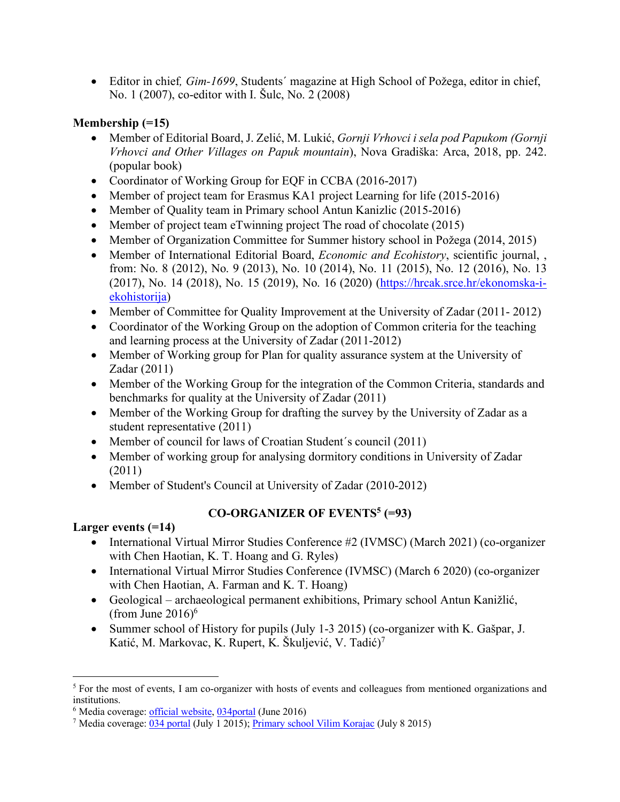• Editor in chief*, Gim-1699*, Students´ magazine at High School of Požega, editor in chief, No. 1 (2007), co-editor with I. Šulc, No. 2 (2008)

## **Membership (=15)**

- Member of Editorial Board, J. Zelić, M. Lukić, *Gornji Vrhovci i sela pod Papukom (Gornji Vrhovci and Other Villages on Papuk mountain*), Nova Gradiška: Arca, 2018, pp. 242. (popular book)
- Coordinator of Working Group for EQF in CCBA (2016-2017)
- Member of project team for Erasmus KA1 project Learning for life (2015-2016)
- Member of Quality team in Primary school Antun Kanizlic (2015-2016)
- Member of project team eTwinning project The road of chocolate (2015)
- Member of Organization Committee for Summer history school in Požega (2014, 2015)
- Member of International Editorial Board, *Economic and Ecohistory*, scientific journal, , from: No. 8 (2012), No. 9 (2013), No. 10 (2014), No. 11 (2015), No. 12 (2016), No. 13 (2017), No. 14 (2018), No. 15 (2019), No. 16 (2020) (https://hrcak.srce.hr/ekonomska-iekohistorija)
- Member of Committee for Quality Improvement at the University of Zadar (2011-2012)
- Coordinator of the Working Group on the adoption of Common criteria for the teaching and learning process at the University of Zadar (2011-2012)
- Member of Working group for Plan for quality assurance system at the University of Zadar (2011)
- Member of the Working Group for the integration of the Common Criteria, standards and benchmarks for quality at the University of Zadar (2011)
- Member of the Working Group for drafting the survey by the University of Zadar as a student representative (2011)
- Member of council for laws of Croatian Student's council (2011)
- Member of working group for analysing dormitory conditions in University of Zadar (2011)
- Member of Student's Council at University of Zadar (2010-2012)

# **CO-ORGANIZER OF EVENTS5 (=93)**

### **Larger events (=14)**

- International Virtual Mirror Studies Conference #2 (IVMSC) (March 2021) (co-organizer with Chen Haotian, K. T. Hoang and G. Ryles)
- International Virtual Mirror Studies Conference (IVMSC) (March 6 2020) (co-organizer with Chen Haotian, A. Farman and K. T. Hoang)
- Geological archaeological permanent exhibitions, Primary school Antun Kanižlić, (from June  $2016$ )<sup>6</sup>
- Summer school of History for pupils (July 1-3 2015) (co-organizer with K. Gašpar, J. Katić, M. Markovac, K. Rupert, K. Škuljević, V. Tadić)7

<sup>&</sup>lt;sup>5</sup> For the most of events, I am co-organizer with hosts of events and colleagues from mentioned organizations and institutions.

<sup>&</sup>lt;sup>6</sup> Media coverage: official website, 034portal (June 2016)

<sup>&</sup>lt;sup>7</sup> Media coverage:  $\overline{034 \text{ portal}}$  (July 1 2015); Primary school Vilim Korajac (July 8 2015)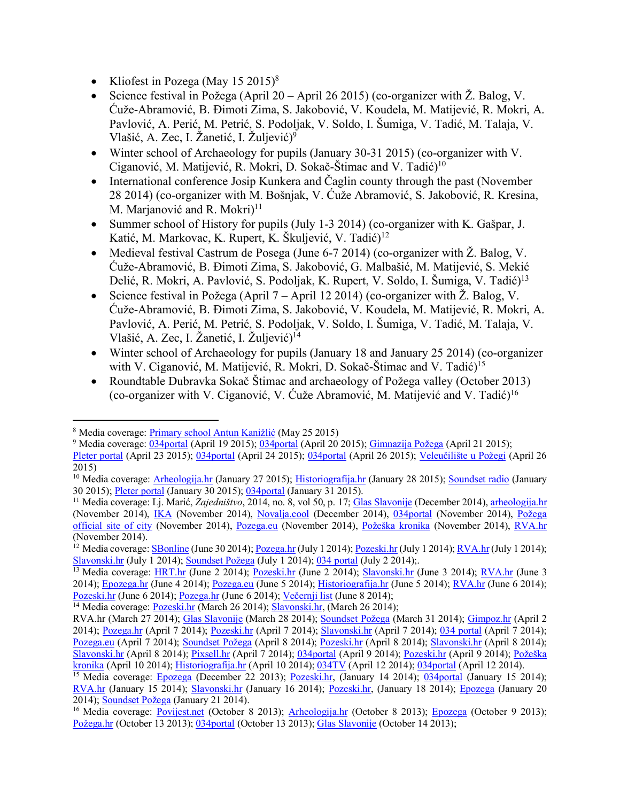- Kliofest in Pozega (May  $15 \ 2015$ )<sup>8</sup>
- Science festival in Požega (April 20 April 26 2015) (co-organizer with  $\check{Z}$ . Balog, V. Ćuže-Abramović, B. Đimoti Zima, S. Jakobović, V. Koudela, M. Matijević, R. Mokri, A. Pavlović, A. Perić, M. Petrić, S. Podoljak, V. Soldo, I. Šumiga, V. Tadić, M. Talaja, V. Vlašić, A. Zec, I. Žanetić, I. Žuljević) 9
- Winter school of Archaeology for pupils (January 30-31 2015) (co-organizer with V. Ciganović, M. Matijević, R. Mokri, D. Sokač-Štimac and V. Tadić)<sup>10</sup>
- International conference Josip Kunkera and Čaglin county through the past (November 28 2014) (co-organizer with M. Bošnjak, V. Ćuže Abramović, S. Jakobović, R. Kresina, M. Marjanović and R. Mokri $)^{11}$
- Summer school of History for pupils (July 1-3 2014) (co-organizer with K. Gašpar, J. Katić, M. Markovac, K. Rupert, K. Škuljević, V. Tadić)<sup>12</sup>
- Medieval festival Castrum de Posega (June 6-7 2014) (co-organizer with  $\check{Z}$ . Balog, V. Ćuže-Abramović, B. Đimoti Zima, S. Jakobović, G. Malbašić, M. Matijević, S. Mekić Delić, R. Mokri, A. Pavlović, S. Podoljak, K. Rupert, V. Soldo, I. Šumiga, V. Tadić)<sup>13</sup>
- Science festival in Požega (April 7 April 12 2014) (co-organizer with  $\check{Z}$ . Balog, V. Ćuže-Abramović, B. Đimoti Zima, S. Jakobović, V. Koudela, M. Matijević, R. Mokri, A. Pavlović, A. Perić, M. Petrić, S. Podoljak, V. Soldo, I. Šumiga, V. Tadić, M. Talaja, V. Vlašić, A. Zec, I. Žanetić, I. Žuljević) 14
- Winter school of Archaeology for pupils (January 18 and January 25 2014) (co-organizer with V. Ciganović, M. Matijević, R. Mokri, D. Sokač-Štimac and V. Tadić)<sup>15</sup>
- Roundtable Dubravka Sokač Štimac and archaeology of Požega valley (October 2013) (co-organizer with V. Ciganović, V. Ćuže Abramović, M. Matijević and V. Tadić) 16

<sup>8</sup> Media coverage: Primary school Antun Kanižlić (May 25 2015)

<sup>9</sup> Media coverage: 034portal (April 19 2015); 034portal (April 20 2015); Gimnazija Požega (April 21 2015);

Pleter portal (April 23 2015); 034portal (April 24 2015); 034portal (April 26 2015); Veleučilište u Požegi (April 26 2015)

<sup>&</sup>lt;sup>10</sup> Media coverage: Arheologija.hr (January 27 2015); Historiografija.hr (January 28 2015); Soundset radio (January 30 2015); Pleter portal (January 30 2015); 034portal (January 31 2015).

<sup>11</sup> Media coverage: Lj. Marić, *Zajedništvo*, 2014, no. 8, vol 50, p. 17; Glas Slavonije (December 2014), arheologija.hr (November 2014), IKA (November 2014), Novalja.cool (December 2014), 034portal (November 2014), Požega official site of city (November 2014), Pozega.eu (November 2014), Požeška kronika (November 2014), RVA.hr (November 2014).

<sup>&</sup>lt;sup>12</sup> Media coverage: **SBonline** (June 30 2014); Pozega.hr (July 1 2014); Pozeski.hr (July 1 2014); RVA.hr (July 1 2014); Slavonski.hr (July 1 2014); Soundset Požega (July 1 2014); 034 portal (July 2 2014);.

<sup>&</sup>lt;sup>13</sup> Media coverage: HRT.hr (June 2 2014); <u>Pozeski.hr</u> (June 2 2014); Slavonski.hr (June 3 2014); <u>RVA.hr</u> (June 3 2014); Epozega.hr (June 4 2014); Pozega.eu (June 5 2014); Historiografija.hr (June 5 2014); RVA.hr (June 6 2014); Pozeski.hr (June 6 2014); Pozega.hr (June 6 2014); Večernji list (June 8 2014);

<sup>&</sup>lt;sup>14</sup> Media coverage: Pozeski.hr (March 26 2014); Slavonski.hr, (March 26 2014);

RVA.hr (March 27 2014); Glas Slavonije (March 28 2014); Soundset Požega (March 31 2014); Gimpoz.hr (April 2 2014); Pozega.hr (April 7 2014); Pozeski.hr (April 7 2014); Slavonski.hr (April 7 2014); 034 portal (April 7 2014); Pozega.eu (April 7 2014); Soundset Požega (April 8 2014); Pozeski.hr (April 8 2014); Slavonski.hr (April 8 2014); Slavonski.hr (April 8 2014); Pixsell.hr (April 7 2014); 034portal (April 9 2014); Pozeski.hr (April 9 2014); Požeška kronika (April 10 2014); Historiografija.hr (April 10 2014); 034TV (April 12 2014); 034portal (April 12 2014).

<sup>&</sup>lt;sup>15</sup> Media coverage: Epozega (December 22 2013); Pozeski.hr, (January 14 2014); 034portal (January 15 2014); RVA.hr (January 15 2014); Slavonski.hr (January 16 2014); Pozeski.hr, (January 18 2014); Epozega (January 20 2014); Soundset Požega (January 21 2014).

<sup>&</sup>lt;sup>16</sup> Media coverage: Povijest.net (October 8 2013); Arheologija.hr (October 8 2013); Epozega (October 9 2013); Požega.hr (October 13 2013); 034portal (October 13 2013); Glas Slavonije (October 14 2013);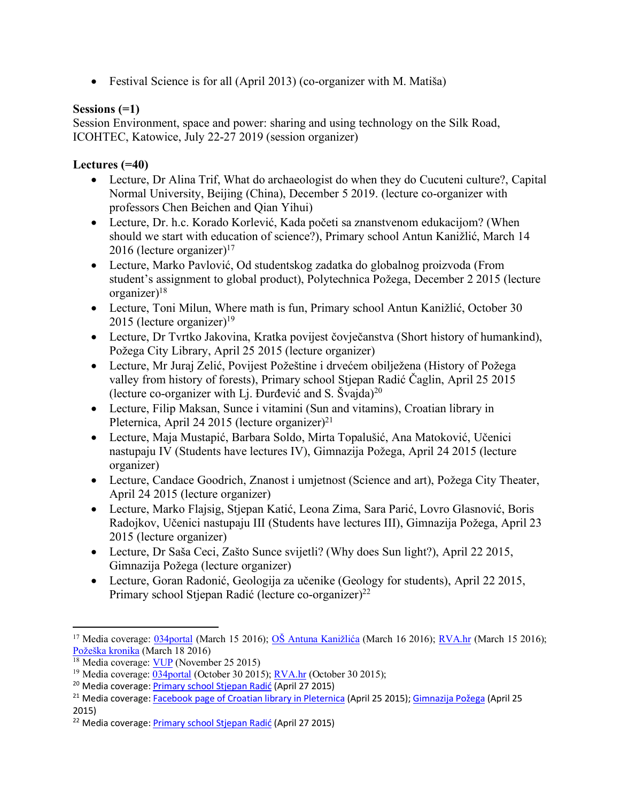• Festival Science is for all (April 2013) (co-organizer with M. Matiša)

#### **Sessions (=1)**

Session Environment, space and power: sharing and using technology on the Silk Road, ICOHTEC, Katowice, July 22-27 2019 (session organizer)

#### **Lectures (=40)**

- Lecture, Dr Alina Trif, What do archaeologist do when they do Cucuteni culture?, Capital Normal University, Beijing (China), December 5 2019. (lecture co-organizer with professors Chen Beichen and Qian Yihui)
- Lecture, Dr. h.c. Korado Korlević, Kada početi sa znanstvenom edukacijom? (When should we start with education of science?), Primary school Antun Kanižlić, March 14 2016 (lecture organizer)<sup>17</sup>
- Lecture, Marko Pavlović, Od studentskog zadatka do globalnog proizvoda (From student's assignment to global product), Polytechnica Požega, December 2 2015 (lecture organizer $)^{18}$
- Lecture, Toni Milun, Where math is fun, Primary school Antun Kanižlić, October 30 2015 (lecture organizer)<sup>19</sup>
- Lecture, Dr Tvrtko Jakovina, Kratka povijest čovječanstva (Short history of humankind), Požega City Library, April 25 2015 (lecture organizer)
- Lecture, Mr Juraj Zelić, Povijest Požeštine i drvećem obilježena (History of Požega valley from history of forests), Primary school Stjepan Radić Čaglin, April 25 2015 (lecture co-organizer with Lj. Đurđević and S. Švajda)<sup>20</sup>
- Lecture, Filip Maksan, Sunce i vitamini (Sun and vitamins), Croatian library in Pleternica, April 24 2015 (lecture organizer)<sup>21</sup>
- Lecture, Maja Mustapić, Barbara Soldo, Mirta Topalušić, Ana Matoković, Učenici nastupaju IV (Students have lectures IV), Gimnazija Požega, April 24 2015 (lecture organizer)
- Lecture, Candace Goodrich, Znanost i umjetnost (Science and art), Požega City Theater, April 24 2015 (lecture organizer)
- Lecture, Marko Flajsig, Stjepan Katić, Leona Zima, Sara Parić, Lovro Glasnović, Boris Radojkov, Učenici nastupaju III (Students have lectures III), Gimnazija Požega, April 23 2015 (lecture organizer)
- Lecture, Dr Saša Ceci, Zašto Sunce svijetli? (Why does Sun light?), April 22 2015, Gimnazija Požega (lecture organizer)
- Lecture, Goran Radonić, Geologija za učenike (Geology for students), April 22 2015, Primary school Stjepan Radić (lecture co-organizer)<sup>22</sup>

 $\overline{\phantom{a}}$ 

<sup>&</sup>lt;sup>17</sup> Media coverage: 034portal (March 15 2016); OŠ Antuna Kanižlića (March 16 2016); RVA.hr (March 15 2016); Požeška kronika (March 18 2016)

 $18$  Media coverage: VUP (November 25 2015)

<sup>&</sup>lt;sup>19</sup> Media coverage:  $\frac{034 \text{portal}}{0040}$  (October 30 2015); RVA.hr (October 30 2015);

<sup>20</sup> Media coverage: Primary school Stjepan Radić (April 27 2015)

<sup>&</sup>lt;sup>21</sup> Media coverage: Facebook page of Croatian library in Pleternica (April 25 2015); Gimnazija Požega (April 25 2015)

<sup>22</sup> Media coverage: Primary school Stjepan Radić (April 27 2015)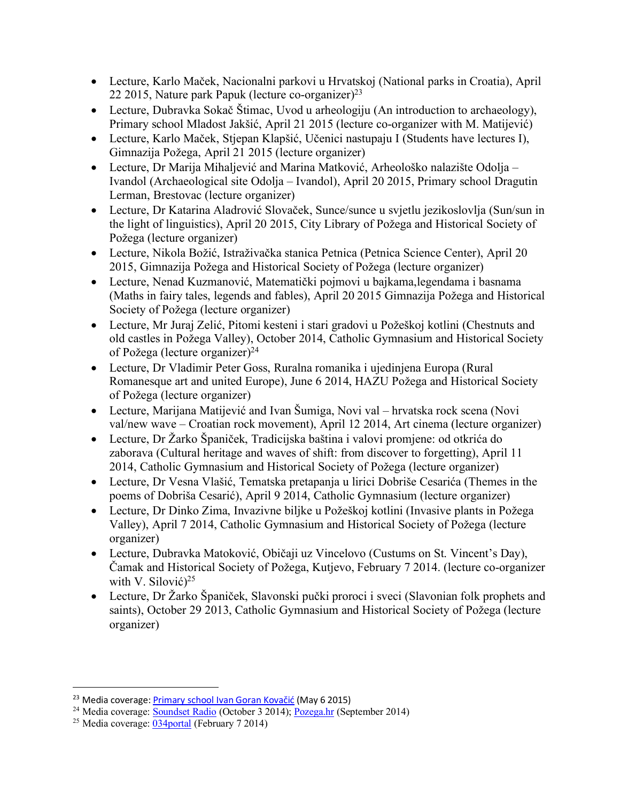- Lecture, Karlo Maček, Nacionalni parkovi u Hrvatskoj (National parks in Croatia), April 22 2015, Nature park Papuk (lecture co-organizer)23
- Lecture, Dubravka Sokač Štimac, Uvod u arheologiju (An introduction to archaeology), Primary school Mladost Jakšić, April 21 2015 (lecture co-organizer with M. Matijević)
- Lecture, Karlo Maček, Stjepan Klapšić, Učenici nastupaju I (Students have lectures I), Gimnazija Požega, April 21 2015 (lecture organizer)
- Lecture, Dr Marija Mihaljević and Marina Matković, Arheološko nalazište Odolja Ivandol (Archaeological site Odolja – Ivandol), April 20 2015, Primary school Dragutin Lerman, Brestovac (lecture organizer)
- Lecture, Dr Katarina Aladrović Slovaček, Sunce/sunce u svjetlu jezikoslovlja (Sun/sun in the light of linguistics), April 20 2015, City Library of Požega and Historical Society of Požega (lecture organizer)
- Lecture, Nikola Božić, Istraživačka stanica Petnica (Petnica Science Center), April 20 2015, Gimnazija Požega and Historical Society of Požega (lecture organizer)
- Lecture, Nenad Kuzmanović, Matematički pojmovi u bajkama,legendama i basnama (Maths in fairy tales, legends and fables), April 20 2015 Gimnazija Požega and Historical Society of Požega (lecture organizer)
- Lecture, Mr Juraj Zelić, Pitomi kesteni i stari gradovi u Požeškoj kotlini (Chestnuts and old castles in Požega Valley), October 2014, Catholic Gymnasium and Historical Society of Požega (lecture organizer)24
- Lecture, Dr Vladimir Peter Goss, Ruralna romanika i ujedinjena Europa (Rural Romanesque art and united Europe), June 6 2014, HAZU Požega and Historical Society of Požega (lecture organizer)
- Lecture, Marijana Matijević and Ivan Šumiga, Novi val hrvatska rock scena (Novi val/new wave – Croatian rock movement), April 12 2014, Art cinema (lecture organizer)
- Lecture, Dr Žarko Španiček, Tradicijska baština i valovi promjene: od otkrića do zaborava (Cultural heritage and waves of shift: from discover to forgetting), April 11 2014, Catholic Gymnasium and Historical Society of Požega (lecture organizer)
- Lecture, Dr Vesna Vlašić, Tematska pretapanja u lirici Dobriše Cesarića (Themes in the poems of Dobriša Cesarić), April 9 2014, Catholic Gymnasium (lecture organizer)
- Lecture, Dr Dinko Zima, Invazivne biljke u Požeškoj kotlini (Invasive plants in Požega Valley), April 7 2014, Catholic Gymnasium and Historical Society of Požega (lecture organizer)
- Lecture, Dubravka Matoković, Običaji uz Vincelovo (Custums on St. Vincent's Day), Čamak and Historical Society of Požega, Kutjevo, February 7 2014. (lecture co-organizer with V. Silović)<sup>25</sup>
- Lecture, Dr Žarko Španiček, Slavonski pučki proroci i sveci (Slavonian folk prophets and saints), October 29 2013, Catholic Gymnasium and Historical Society of Požega (lecture organizer)

<sup>&</sup>lt;sup>23</sup> Media coverage: Primary school Ivan Goran Kovačić (May 6 2015)

<sup>&</sup>lt;sup>24</sup> Media coverage: Soundset Radio (October 3 2014); Pozega.hr (September 2014)

<sup>25</sup> Media coverage: 034portal (February 7 2014)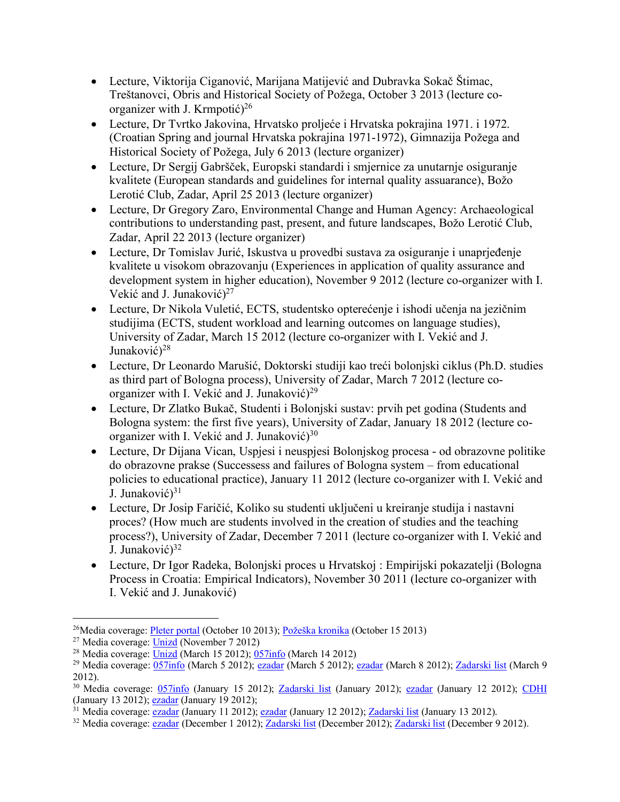- Lecture, Viktorija Ciganović, Marijana Matijević and Dubravka Sokač Štimac, Treštanovci, Obris and Historical Society of Požega, October 3 2013 (lecture coorganizer with J. Krmpotić)<sup>26</sup>
- Lecture, Dr Tvrtko Jakovina, Hrvatsko proljeće i Hrvatska pokrajina 1971. i 1972. (Croatian Spring and journal Hrvatska pokrajina 1971-1972), Gimnazija Požega and Historical Society of Požega, July 6 2013 (lecture organizer)
- Lecture, Dr Sergij Gabršček, Europski standardi i smjernice za unutarnje osiguranje kvalitete (European standards and guidelines for internal quality assuarance), Božo Lerotić Club, Zadar, April 25 2013 (lecture organizer)
- Lecture, Dr Gregory Zaro, Environmental Change and Human Agency: Archaeological contributions to understanding past, present, and future landscapes, Božo Lerotić Club, Zadar, April 22 2013 (lecture organizer)
- Lecture, Dr Tomislav Jurić, Iskustva u provedbi sustava za osiguranje i unaprjeđenje kvalitete u visokom obrazovanju (Experiences in application of quality assurance and development system in higher education), November 9 2012 (lecture co-organizer with I. Vekić and J. Junaković)<sup>27</sup>
- Lecture, Dr Nikola Vuletić, ECTS, studentsko opterećenje i ishodi učenja na jezičnim studijima (ECTS, student workload and learning outcomes on language studies), University of Zadar, March 15 2012 (lecture co-organizer with I. Vekić and J. Junaković)<sup>28</sup>
- Lecture, Dr Leonardo Marušić, Doktorski studiji kao treći bolonjski ciklus (Ph.D. studies as third part of Bologna process), University of Zadar, March 7 2012 (lecture coorganizer with I. Vekić and J. Junaković $)^{29}$
- Lecture, Dr Zlatko Bukač, Studenti i Bolonjski sustav: prvih pet godina (Students and Bologna system: the first five years), University of Zadar, January 18 2012 (lecture coorganizer with I. Vekić and J. Junaković)<sup>30</sup>
- Lecture, Dr Dijana Vican, Uspjesi i neuspjesi Bolonjskog procesa od obrazovne politike do obrazovne prakse (Successess and failures of Bologna system – from educational policies to educational practice), January 11 2012 (lecture co-organizer with I. Vekić and J. Junaković)<sup>31</sup>
- Lecture, Dr Josip Faričić, Koliko su studenti uključeni u kreiranje studija i nastavni proces? (How much are students involved in the creation of studies and the teaching process?), University of Zadar, December 7 2011 (lecture co-organizer with I. Vekić and J. Junaković)<sup>32</sup>
- Lecture, Dr Igor Radeka, Bolonjski proces u Hrvatskoj : Empirijski pokazatelji (Bologna Process in Croatia: Empirical Indicators), November 30 2011 (lecture co-organizer with I. Vekić and J. Junaković)

<sup>26</sup>Media coverage: Pleter portal (October 10 2013); Požeška kronika (October 15 2013)

 $27$  Media coverage: Unizd (November 7 2012)

<sup>&</sup>lt;sup>28</sup> Media coverage: Unizd (March 15 2012);  $\frac{0.57 \text{ln}^2}{20.057 \text{ln}^2}$  (March 14 2012)

<sup>&</sup>lt;sup>29</sup> Media coverage:  $\frac{057\text{info}}{0.57\text{info}}$  (March 5 2012); ezadar (March 5 2012); ezadar (March 8 2012); Zadarski list (March 9 2012).

<sup>&</sup>lt;sup>30</sup> Media coverage: 057info (January 15 2012); Zadarski list (January 2012); ezadar (January 12 2012); CDHI (January 13 2012); comary 19 2012);

 $31$  Media coverage:  $\frac{1}{2}$  ezadar (January 11 2012);  $\frac{1}{2}$  (January 12 2012); Zadarski list (January 13 2012).

<sup>&</sup>lt;sup>32</sup> Media coverage: ezadar (December 1 2012); Zadarski list (December 2012); Zadarski list (December 9 2012).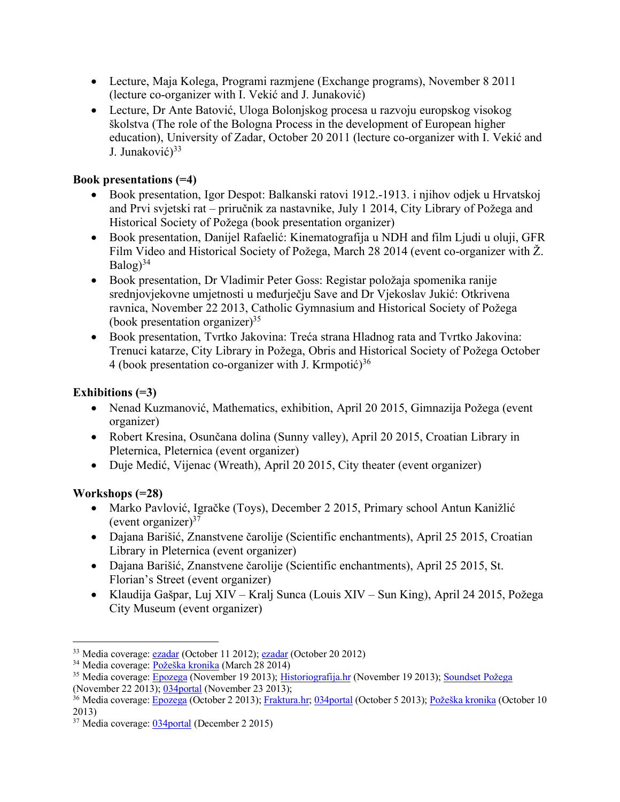- Lecture, Maja Kolega, Programi razmjene (Exchange programs), November 8 2011 (lecture co-organizer with I. Vekić and J. Junaković)
- Lecture, Dr Ante Batović, Uloga Bolonjskog procesa u razvoju europskog visokog školstva (The role of the Bologna Process in the development of European higher education), University of Zadar, October 20 2011 (lecture co-organizer with I. Vekić and J. Junaković)<sup>33</sup>

## **Book presentations (=4)**

- Book presentation, Igor Despot: Balkanski ratovi 1912.-1913. i njihov odjek u Hrvatskoj and Prvi svjetski rat – priručnik za nastavnike, July 1 2014, City Library of Požega and Historical Society of Požega (book presentation organizer)
- Book presentation, Danijel Rafaelić: Kinematografija u NDH and film Ljudi u oluji, GFR Film Video and Historical Society of Požega, March 28 2014 (event co-organizer with Ž. Balog) 34
- Book presentation, Dr Vladimir Peter Goss: Registar položaja spomenika ranije srednjovjekovne umjetnosti u međurječju Save and Dr Vjekoslav Jukić: Otkrivena ravnica, November 22 2013, Catholic Gymnasium and Historical Society of Požega (book presentation organizer) $35$
- Book presentation, Tvrtko Jakovina: Treća strana Hladnog rata and Tvrtko Jakovina: Trenuci katarze, City Library in Požega, Obris and Historical Society of Požega October 4 (book presentation co-organizer with J. Krmpotić)<sup>36</sup>

# **Exhibitions (=3)**

- Nenad Kuzmanović, Mathematics, exhibition, April 20 2015, Gimnazija Požega (event organizer)
- Robert Kresina, Osunčana dolina (Sunny valley), April 20 2015, Croatian Library in Pleternica, Pleternica (event organizer)
- Duje Medić, Vijenac (Wreath), April 20 2015, City theater (event organizer)

### **Workshops (=28)**

- Marko Pavlović, Igračke (Toys), December 2 2015, Primary school Antun Kanižlić (event organizer) $37$
- Dajana Barišić, Znanstvene čarolije (Scientific enchantments), April 25 2015, Croatian Library in Pleternica (event organizer)
- Dajana Barišić, Znanstvene čarolije (Scientific enchantments), April 25 2015, St. Florian's Street (event organizer)
- Klaudija Gašpar, Luj XIV Kralj Sunca (Louis XIV Sun King), April 24 2015, Požega City Museum (event organizer)

 $\overline{a}$ <sup>33</sup> Media coverage: **ezadar** (October 11 2012); **ezadar** (October 20 2012)

<sup>&</sup>lt;sup>34</sup> Media coverage:  $\overline{Požeška kronika}$  (March 28 2014)

<sup>35</sup> Media coverage: Epozega (November 19 2013); Historiografija.hr (November 19 2013); Soundset Požega (November 22 2013); 034portal (November 23 2013);

<sup>&</sup>lt;sup>36</sup> Media coverage: Epozega (October 2 2013); Fraktura.hr; 034portal (October 5 2013); Požeška kronika (October 10 2013)

<sup>37</sup> Media coverage: 034portal (December 2 2015)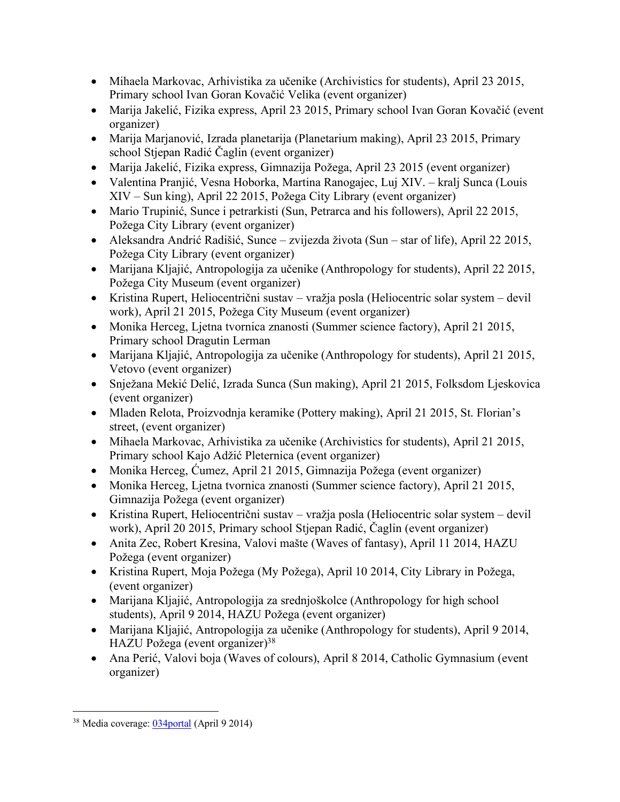- Mihaela Markovac, Arhivistika za učenike (Archivistics for students), April 23 2015, Primary school Ivan Goran Kovačić Velika (event organizer)
- Marija Jakelić, Fizika express, April 23 2015, Primary school Ivan Goran Kovačić (event organizer)
- Marija Marjanović, Izrada planetarija (Planetarium making), April 23 2015, Primary school Stjepan Radić Čaglin (event organizer)
- Marija Jakelić, Fizika express, Gimnazija Požega, April 23 2015 (event organizer)
- Valentina Pranjić, Vesna Hoborka, Martina Ranogajec, Luj XIV. kralj Sunca (Louis XIV – Sun king), April 22 2015, Požega City Library (event organizer)
- Mario Trupinić, Sunce i petrarkisti (Sun, Petrarca and his followers), April 22 2015, Požega City Library (event organizer)
- Aleksandra Andrić Radišić, Sunce zvijezda života (Sun star of life), April 22 2015, Požega City Library (event organizer)
- Marijana Kljajić, Antropologija za učenike (Anthropology for students), April 22 2015, Požega City Museum (event organizer)
- Kristina Rupert, Heliocentrični sustav vražja posla (Heliocentric solar system devil work), April 21 2015, Požega City Museum (event organizer)
- Monika Herceg, Ljetna tvornica znanosti (Summer science factory), April 21 2015, Primary school Dragutin Lerman
- Marijana Kljajić, Antropologija za učenike (Anthropology for students), April 21 2015, Vetovo (event organizer)
- Snježana Mekić Delić, Izrada Sunca (Sun making), April 21 2015, Folksdom Ljeskovica (event organizer)
- Mladen Relota, Proizvodnja keramike (Pottery making), April 21 2015, St. Florian's street, (event organizer)
- Mihaela Markovac, Arhivistika za učenike (Archivistics for students), April 21 2015, Primary school Kajo Adžić Pleternica (event organizer)
- Monika Herceg, Ćumez, April 21 2015, Gimnazija Požega (event organizer)
- Monika Herceg, Lietna tvornica znanosti (Summer science factory), April 21 2015, Gimnazija Požega (event organizer)
- Kristina Rupert, Heliocentrični sustav vražja posla (Heliocentric solar system devil work), April 20 2015, Primary school Stjepan Radić, Čaglin (event organizer)
- Anita Zec, Robert Kresina, Valovi mašte (Waves of fantasy), April 11 2014, HAZU Požega (event organizer)
- Kristina Rupert, Moja Požega (My Požega), April 10 2014, City Library in Požega, (event organizer)
- Marijana Kljajić, Antropologija za srednjoškolce (Anthropology for high school students), April 9 2014, HAZU Požega (event organizer)
- Marijana Kljajić, Antropologija za učenike (Anthropology for students), April 9 2014, HAZU Požega (event organizer)<sup>38</sup>
- Ana Perić, Valovi boja (Waves of colours), April 8 2014, Catholic Gymnasium (event organizer)

 $\overline{a}$ <sup>38</sup> Media coverage: 034portal (April 9 2014)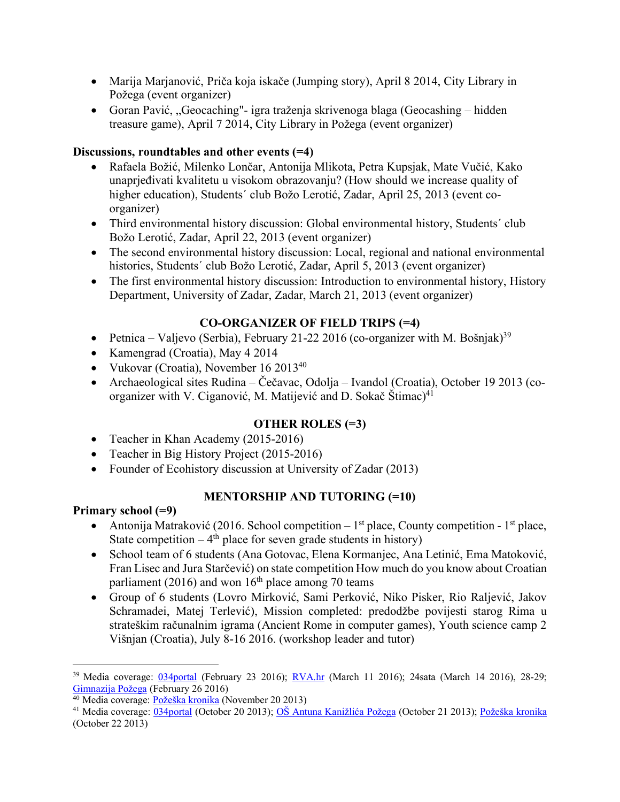- Marija Marjanović, Priča koja iskače (Jumping story), April 8 2014, City Library in Požega (event organizer)
- Goran Pavić, "Geocaching"- igra traženja skrivenoga blaga (Geocashing hidden treasure game), April 7 2014, City Library in Požega (event organizer)

#### **Discussions, roundtables and other events (=4)**

- Rafaela Božić, Milenko Lončar, Antonija Mlikota, Petra Kupsjak, Mate Vučić, Kako unaprjeđivati kvalitetu u visokom obrazovanju? (How should we increase quality of higher education), Students´ club Božo Lerotić, Zadar, April 25, 2013 (event coorganizer)
- Third environmental history discussion: Global environmental history, Students' club Božo Lerotić, Zadar, April 22, 2013 (event organizer)
- The second environmental history discussion: Local, regional and national environmental histories, Students´ club Božo Lerotić, Zadar, April 5, 2013 (event organizer)
- The first environmental history discussion: Introduction to environmental history, History Department, University of Zadar, Zadar, March 21, 2013 (event organizer)

# **CO-ORGANIZER OF FIELD TRIPS (=4)**

- Petnica Valjevo (Serbia), February 21-22 2016 (co-organizer with M. Bošnjak)<sup>39</sup>
- Kamengrad (Croatia), May 4 2014
- Vukovar (Croatia), November 16 2013<sup>40</sup>
- Archaeological sites Rudina Čečavac, Odolja Ivandol (Croatia), October 19 2013 (coorganizer with V. Ciganović, M. Matijević and D. Sokač Štimac)<sup>41</sup>

# **OTHER ROLES (=3)**

- Teacher in Khan Academy (2015-2016)
- Teacher in Big History Project (2015-2016)
- Founder of Ecohistory discussion at University of Zadar (2013)

# **MENTORSHIP AND TUTORING (=10)**

### **Primary school (=9)**

- Antonija Matraković (2016. School competition 1<sup>st</sup> place, County competition 1<sup>st</sup> place, State competition  $-4$ <sup>th</sup> place for seven grade students in history)
- School team of 6 students (Ana Gotovac, Elena Kormanjec, Ana Letinić, Ema Matoković, Fran Lisec and Jura Starčević) on state competition How much do you know about Croatian parliament (2016) and won  $16<sup>th</sup>$  place among 70 teams
- Group of 6 students (Lovro Mirković, Sami Perković, Niko Pisker, Rio Raljević, Jakov Schramadei, Matej Terlević), Mission completed: predodžbe povijesti starog Rima u strateškim računalnim igrama (Ancient Rome in computer games), Youth science camp 2 Višnjan (Croatia), July 8-16 2016. (workshop leader and tutor)

<sup>39</sup> Media coverage: 034portal (February 23 2016); RVA.hr (March 11 2016); 24sata (March 14 2016), 28-29; Gimnazija Požega (February 26 2016)

<sup>&</sup>lt;sup>40</sup> Media coverage: Požeška kronika (November 20 2013)

<sup>41</sup> Media coverage: 034portal (October 20 2013); OŠ Antuna Kanižlića Požega (October 21 2013); Požeška kronika (October 22 2013)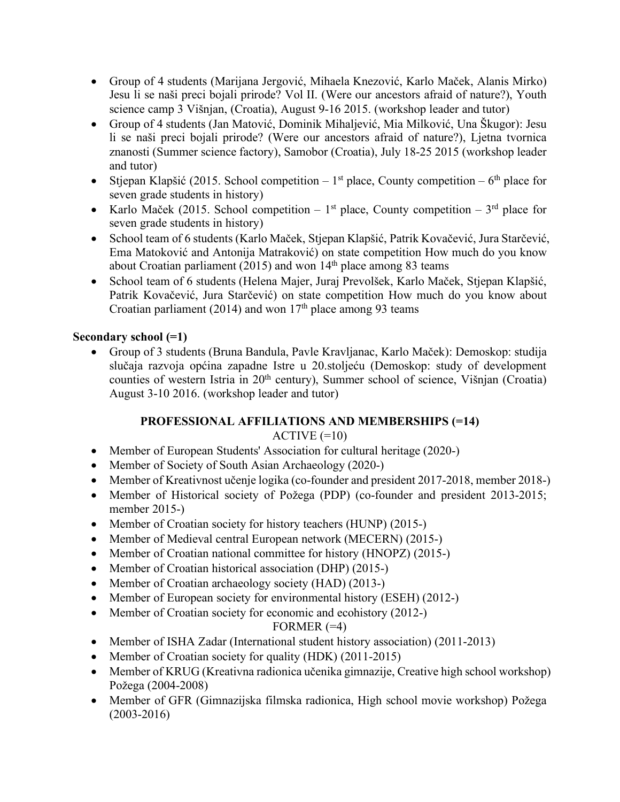- Group of 4 students (Marijana Jergović, Mihaela Knezović, Karlo Maček, Alanis Mirko) Jesu li se naši preci bojali prirode? Vol II. (Were our ancestors afraid of nature?), Youth science camp 3 Višnjan, (Croatia), August 9-16 2015. (workshop leader and tutor)
- Group of 4 students (Jan Matović, Dominik Mihaljević, Mia Milković, Una Škugor): Jesu li se naši preci bojali prirode? (Were our ancestors afraid of nature?), Ljetna tvornica znanosti (Summer science factory), Samobor (Croatia), July 18-25 2015 (workshop leader and tutor)
- Stjepan Klapšić (2015. School competition 1<sup>st</sup> place, County competition 6<sup>th</sup> place for seven grade students in history)
- Karlo Maček (2015. School competition  $1<sup>st</sup>$  place, County competition  $3<sup>rd</sup>$  place for seven grade students in history)
- School team of 6 students (Karlo Maček, Stjepan Klapšić, Patrik Kovačević, Jura Starčević, Ema Matoković and Antonija Matraković) on state competition How much do you know about Croatian parliament (2015) and won  $14<sup>th</sup>$  place among 83 teams
- School team of 6 students (Helena Majer, Juraj Prevolšek, Karlo Maček, Stjepan Klapšić, Patrik Kovačević, Jura Starčević) on state competition How much do you know about Croatian parliament (2014) and won  $17<sup>th</sup>$  place among 93 teams

### **Secondary school (=1)**

• Group of 3 students (Bruna Bandula, Pavle Kravljanac, Karlo Maček): Demoskop: studija slučaja razvoja općina zapadne Istre u 20.stoljeću (Demoskop: study of development counties of western Istria in 20<sup>th</sup> century), Summer school of science, Višnjan (Croatia) August 3-10 2016. (workshop leader and tutor)

# **PROFESSIONAL AFFILIATIONS AND MEMBERSHIPS (=14)**

### $ACTIVE (=10)$

- Member of European Students' Association for cultural heritage (2020-)
- Member of Society of South Asian Archaeology (2020-)
- Member of Kreativnost učenie logika (co-founder and president 2017-2018, member 2018-)
- Member of Historical society of Požega (PDP) (co-founder and president 2013-2015; member 2015-)
- Member of Croatian society for history teachers (HUNP) (2015-)
- Member of Medieval central European network (MECERN) (2015-)
- Member of Croatian national committee for history (HNOPZ) (2015-)
- Member of Croatian historical association (DHP) (2015-)
- Member of Croatian archaeology society (HAD) (2013-)
- Member of European society for environmental history (ESEH) (2012-)
- Member of Croatian society for economic and ecohistory (2012-)

### FORMER  $(=4)$

- Member of ISHA Zadar (International student history association) (2011-2013)
- Member of Croatian society for quality (HDK) (2011-2015)
- Member of KRUG (Kreativna radionica učenika gimnazije, Creative high school workshop) Požega (2004-2008)
- Member of GFR (Gimnazijska filmska radionica, High school movie workshop) Požega (2003-2016)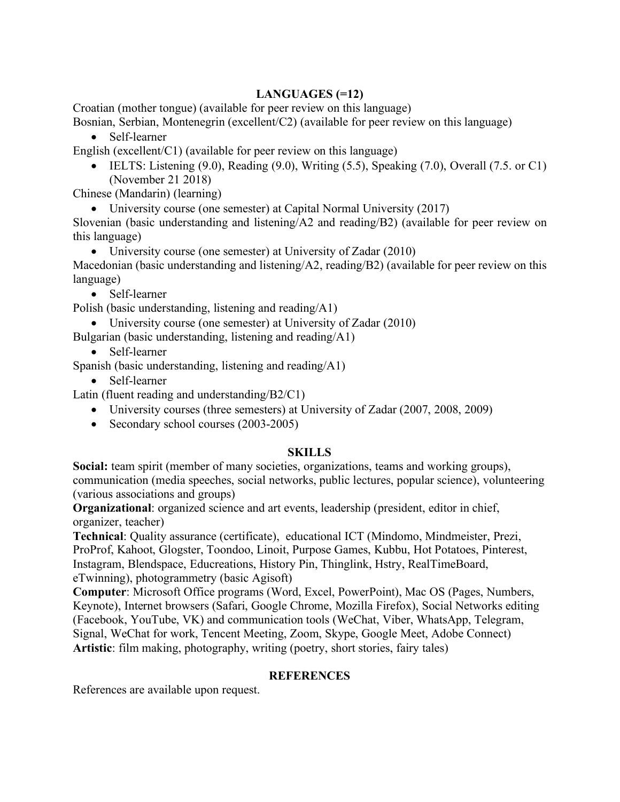### **LANGUAGES (=12)**

Croatian (mother tongue) (available for peer review on this language)

Bosnian, Serbian, Montenegrin (excellent/C2) (available for peer review on this language)

• Self-learner

English (excellent/ $C1$ ) (available for peer review on this language)

• IELTS: Listening  $(9.0)$ , Reading  $(9.0)$ , Writing  $(5.5)$ , Speaking  $(7.0)$ , Overall  $(7.5.$  or C1) (November 21 2018)

Chinese (Mandarin) (learning)

• University course (one semester) at Capital Normal University (2017)

Slovenian (basic understanding and listening/A2 and reading/B2) (available for peer review on this language)

• University course (one semester) at University of Zadar (2010)

Macedonian (basic understanding and listening/A2, reading/B2) (available for peer review on this language)

• Self-learner

Polish (basic understanding, listening and reading/A1)

• University course (one semester) at University of Zadar (2010)

Bulgarian (basic understanding, listening and reading/A1)

- Self-learner
- Spanish (basic understanding, listening and reading/A1)
	- Self-learner
- Latin (fluent reading and understanding/B2/C1)
	- University courses (three semesters) at University of Zadar (2007, 2008, 2009)
	- Secondary school courses (2003-2005)

#### **SKILLS**

**Social:** team spirit (member of many societies, organizations, teams and working groups), communication (media speeches, social networks, public lectures, popular science), volunteering (various associations and groups)

**Organizational**: organized science and art events, leadership (president, editor in chief, organizer, teacher)

**Technical**: Quality assurance (certificate), educational ICT (Mindomo, Mindmeister, Prezi, ProProf, Kahoot, Glogster, Toondoo, Linoit, Purpose Games, Kubbu, Hot Potatoes, Pinterest, Instagram, Blendspace, Educreations, History Pin, Thinglink, Hstry, RealTimeBoard, eTwinning), photogrammetry (basic Agisoft)

**Computer**: Microsoft Office programs (Word, Excel, PowerPoint), Mac OS (Pages, Numbers, Keynote), Internet browsers (Safari, Google Chrome, Mozilla Firefox), Social Networks editing (Facebook, YouTube, VK) and communication tools (WeChat, Viber, WhatsApp, Telegram, Signal, WeChat for work, Tencent Meeting, Zoom, Skype, Google Meet, Adobe Connect) **Artistic**: film making, photography, writing (poetry, short stories, fairy tales)

#### **REFERENCES**

References are available upon request.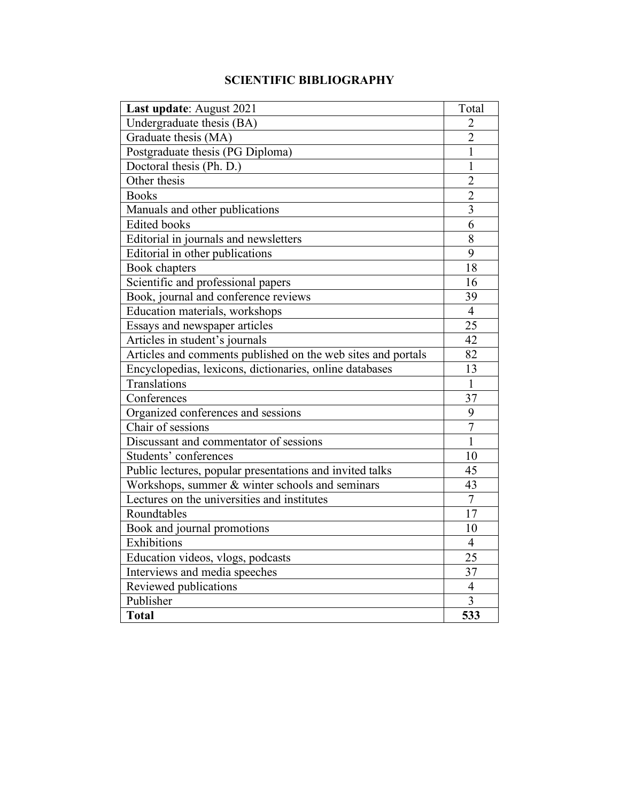# **SCIENTIFIC BIBLIOGRAPHY**

| Last update: August 2021                                     | Total          |
|--------------------------------------------------------------|----------------|
| Undergraduate thesis (BA)                                    | 2              |
| Graduate thesis (MA)                                         | $\overline{2}$ |
| Postgraduate thesis (PG Diploma)                             | 1              |
| Doctoral thesis (Ph. D.)                                     | $\mathbf{1}$   |
| Other thesis                                                 | $\overline{2}$ |
| <b>Books</b>                                                 | $\overline{2}$ |
| Manuals and other publications                               | $\overline{3}$ |
| <b>Edited books</b>                                          | 6              |
| Editorial in journals and newsletters                        | 8              |
| Editorial in other publications                              | 9              |
| Book chapters                                                | 18             |
| Scientific and professional papers                           | 16             |
| Book, journal and conference reviews                         | 39             |
| Education materials, workshops                               | $\overline{4}$ |
| Essays and newspaper articles                                | 25             |
| Articles in student's journals                               | 42             |
| Articles and comments published on the web sites and portals | 82             |
| Encyclopedias, lexicons, dictionaries, online databases      | 13             |
| Translations                                                 | 1              |
| Conferences                                                  | 37             |
| Organized conferences and sessions                           | 9              |
| Chair of sessions                                            | $\overline{7}$ |
| Discussant and commentator of sessions                       | $\mathbf{1}$   |
| Students' conferences                                        | 10             |
| Public lectures, popular presentations and invited talks     | 45             |
| Workshops, summer & winter schools and seminars              | 43             |
| Lectures on the universities and institutes                  | $\overline{7}$ |
| Roundtables                                                  | 17             |
| Book and journal promotions                                  | 10             |
| Exhibitions                                                  | $\overline{4}$ |
| Education videos, vlogs, podcasts                            | 25             |
| Interviews and media speeches                                | 37             |
| Reviewed publications                                        | $\overline{4}$ |
| Publisher                                                    | 3              |
| <b>Total</b>                                                 | 533            |